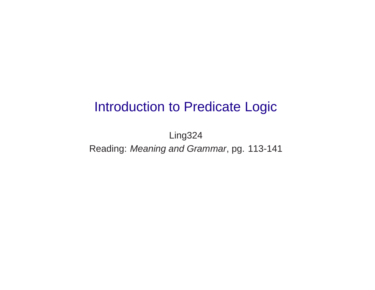# Introduction to Predicate Logic

Ling324 Reading: Meaning and Grammar, pg. 113-141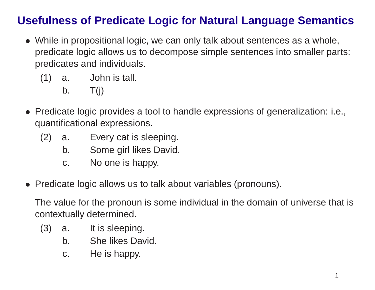## **Usefulness of Predicate Logic for Natural Language Semantics**

- While in propositional logic, we can only talk about sentences as <sup>a</sup> whole, predicate logic allows us to decompose simple sentences into smaller parts: predicates and individuals.
	- (1) a. John is tall.

b.  $T(j)$ 

- Predicate logic provides <sup>a</sup> tool to handle expressions of generalization: i.e., quantificational expressions.
	- (2) a. Every cat is sleeping.
		- b. Some girl likes David.
		- c. No one is happy.
- Predicate logic allows us to talk about variables (pronouns).

The value for the pronoun is some individual in the domain of universe that is contextually determined.

- (3) a. It is sleeping.
	- b. She likes David.
	- c. He is happy.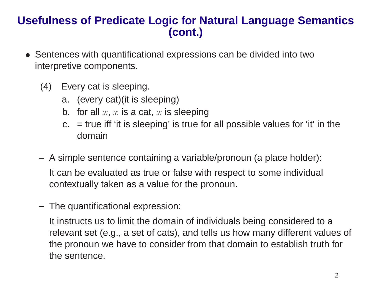#### **Usefulness of Predicate Logic for Natural Language Semantics (cont.)**

- Sentences with quantificational expressions can be divided into two interpretive components.
	- (4) Every cat is sleeping.
		- a. (every cat)(it is sleeping)
		- b.  $\,$  for all  $x,\,x$  is a cat,  $x$  is sleeping
		- $c_{\text{r}}$  = true iff 'it is sleeping' is true for all possible values for 'it' in the domain
	- **–** A simple sentence containing <sup>a</sup> variable/pronoun (a place holder): It can be evaluated as true or false with respect to some individual contextually taken as <sup>a</sup> value for the pronoun.
	- **–** The quantificational expression:

It instructs us to limit the domain of individuals being considered to <sup>a</sup> relevant set (e.g., <sup>a</sup> set of cats), and tells us how many different values of the pronoun we have to consider from that domain to establish truth for the sentence.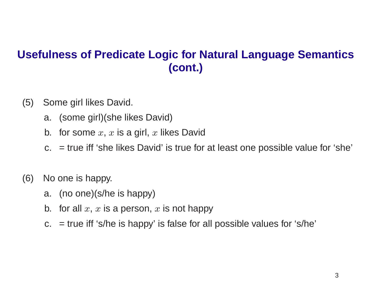### **Usefulness of Predicate Logic for Natural Language Semantics (cont.)**

- (5) Some girl likes David.
	- a. (some girl)(she likes David)
	- b.  $\,$  for some  $x,\,x$  is a girl,  $x$  likes David
	- c. <sup>=</sup> true iff 'she likes David' is true for at least one possible value for 'she'
- (6) No one is happy.
	- a. (no one)(s/he is happy)
	- b.  $\,$  for all  $x,\,x$  is a person,  $x$  is not happy
	- $c_{\rm r}$  = true iff 's/he is happy' is false for all possible values for 's/he'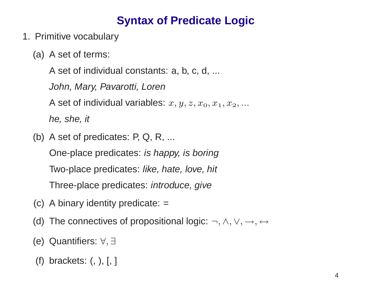# **Syntax of Predicate Logic**

- 1. Primitive vocabulary
	- (a) A set of terms:

A set of individual constants: a, b, c, d, ...

John, Mary, Pavarotti, Loren

A set of individual variables:  $x,y,z,x_{\rm o},x_1,x_2,...$ 

he, she, it

(b) A set of predicates: P, Q, R, ...

One-place predicates: is happy, is boring

Two-place predicates: like, hate, love, hit

Three-place predicates: introduce, give

- (c) A binary identity predicate:  $=$
- (d) The connectives of propositional logic:  $\neg, \wedge, \vee, \rightarrow, \leftrightarrow$
- (e) Quantifiers: ∀, ∃
- (f) brackets: (, ), [, ]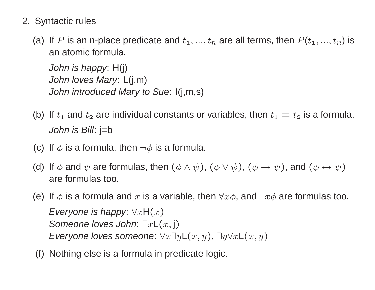#### 2. Syntactic rules

(a) If P is an n-place predicate and  $t_1, ..., t_n$  are all terms, then  $P(t_1, ..., t_n)$  is an atomic formula.

John is happy: H(j) John loves Mary: L(j,m) John introduced Mary to Sue: I(j,m,s)

- (b) If  $t_1$  and  $t_2$  are individual constants or variables, then  $t_1 = t_2$  is a formula. John is Bill: j=b
- (c) If  $\phi$  is a formula, then  $\neg \phi$  is a formula.
- (d) If  $\phi$  and  $\psi$  are formulas, then  $(\phi \land \psi)$ ,  $(\phi \lor \psi)$ ,  $(\phi \rightarrow \psi)$ , and  $(\phi \leftrightarrow \psi)$ are formulas too.
- (e) If  $\phi$  is a formula and x is a variable, then  $\forall x \phi$ , and  $\exists x \phi$  are formulas too. Everyone is happy:  $\forall x \mathsf{H}(x)$ Someone loves John:  $\exists x \mathsf{L}(x, \mathsf{j})$ Everyone loves someone:  $\forall x \exists y \mathsf{L}(x,y), \exists y \forall x \mathsf{L}(x,y)$
- (f) Nothing else is <sup>a</sup> formula in predicate logic.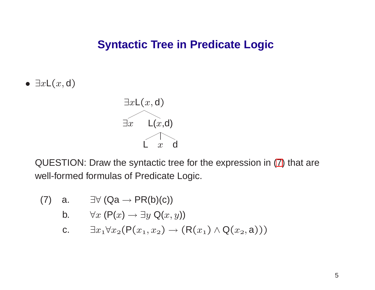#### **Syntactic Tree in Predicate Logic**

 $\bullet$   $\exists x \mathsf{L}(x,\mathsf{d})$ 



QUESTION: Draw the syntactic tree for the expression in [\(7](#page-6-0)) that are well-formed formulas of Predicate Logic.

(7) a. 
$$
\exists \forall (Qa \rightarrow PR(b)(c))
$$

b. 
$$
\forall x \ (\mathsf{P}(x) \rightarrow \exists y \ \mathsf{Q}(x, y))
$$

<span id="page-6-0"></span>c. 
$$
\exists x_1 \forall x_2 (P(x_1, x_2) \rightarrow (R(x_1) \land Q(x_2, a)))
$$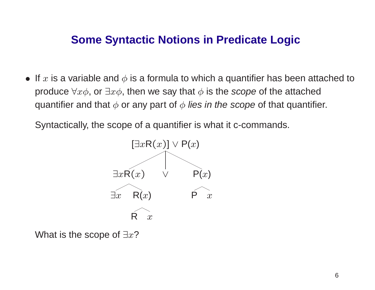#### **Some Syntactic Notions in Predicate Logic**

 $\bullet\,$  If  $x$  is a variable and  $\phi$  is a formula to which a quantifier has been attached to produce  $\forall x\phi$ , or  $\exists x\phi$ , then we say that  $\phi$  is the scope of the attached quantifier and that  $\phi$  or any part of  $\phi$  *lies in the scope* of that quantifier.

Syntactically, the scope of <sup>a</sup> quantifier is what it c-commands.



What is the scope of  $\exists x ?$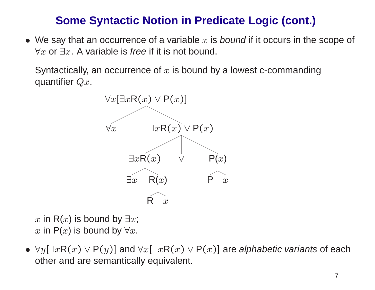## **Some Syntactic Notion in Predicate Logic (cont.)**

 $\bullet\,$  We say that an occurrence of a variable  $x$  is bound if it occurs in the scope of  $\forall x$  or  $\exists x$ . A variable is *free* if it is not bound.

Syntactically, an occurrence of  $x$  is bound by a lowest c-commanding quantifier  $Qx$ .



 $x$  in  $\mathsf{R}(x)$  is bound by  $\exists x;$  $x$  in  $\mathsf{P}(x)$  is bound by  $\forall x.$ 

 $\bullet\;\forall y[\exists x{\sf R}(x)\vee{\sf P}(y)]$  and  $\forall x[\exists x{\sf R}(x)\vee{\sf P}(x)]$  are *alphabetic variants* of each other and are semantically equivalent.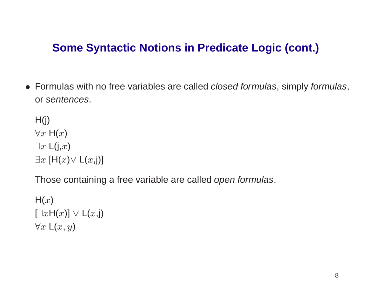#### **Some Syntactic Notions in Predicate Logic (cont.)**

• Formulas with no free variables are called closed formulas, simply formulas, or sentences.

 $H(j)$  $\forall x \; \mathsf{H}(x)$  $\exists x \mathsf{L}(j,x)$  $\exists x~[\mathsf{H}(x) \vee \mathsf{L}(x, \mathsf{j})]$ 

Those containing a free variable are called open formulas.

 $\mathsf{H}(x)$  $[\exists x \mathsf{H}(x)] \mathrel{\vee} \mathsf{L}(x, \mathsf{j})$  $\forall x\ \mathsf{L}(x,y)$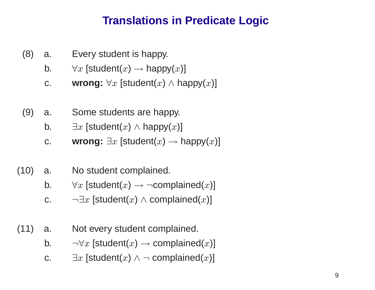## **Translations in Predicate Logic**

- (8) a. Every student is happy.
	- b.  $\forall x$  [student( $x$ )  $\rightarrow$  happy( $x$ )]
	- c. **wrong:**  $\forall x$  [student( $x$ )  $\land$  happy( $x$ )]
- (9) a. Some students are happy.
	- b.  $\exists x \ [\textsf{student}(x) \wedge \textsf{happy}(x)]$
	- c. **wrong:**  $\exists x$  [student( $x$ )  $\rightarrow$  happy( $x$ )]
- (10) a. No student complained.
	- b.  $\forall x$  [student( $x) \rightarrow \neg \text{\sf{complained}}(x)$ ]
	- c.  $\qquad \neg \exists x~ [\textsf{student}(x) \wedge \textsf{complained}(x)]$
- (11) a. Not every student complained.
	- b.  $\qquad \neg \forall x$  [student(x)  $\rightarrow$  complained(x)]
	- c.  $\exists x$  [student( $x) \wedge \neg$  complained( $x$ )]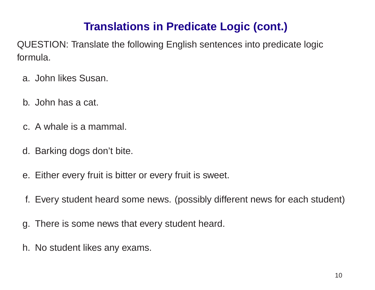# **Translations in Predicate Logic (cont.)**

QUESTION: Translate the following English sentences into predicate logic formula.

- a. John likes Susan.
- b. John has a cat.
- c. A whale is a mammal.
- d. Barking dogs don't bite.
- e. Either every fruit is bitter or every fruit is sweet.
- f. Every student heard some news. (possibly different news for each student)
- g. There is some news that every student heard.
- h. No student likes any exams.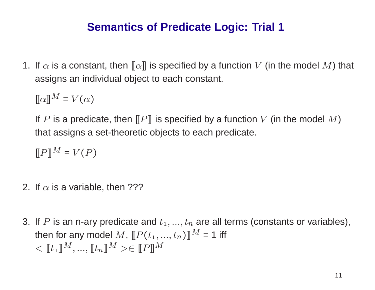### **Semantics of Predicate Logic: Trial 1**

1. If  $\alpha$  is a constant, then  $\llbracket\alpha\rrbracket$  is specified by a function  $V$  (in the model  $M$ ) that assigns an individual object to each constant.

 $[\![\alpha]\!]$  $M = V(\alpha)$ 

If  $P$  is a predicate, then  $\llbracket P \rrbracket$  is specified by a function  $V$  (in the model  $M)$ that assigns <sup>a</sup> set-theoretic objects to each predicate.

 $[\![P]\!]$  $M = V(P)$ 

- 2. If  $\alpha$  is a variable, then ???
- 3. If  $P$  is an n-ary predicate and  $t_1, ..., t_n$  are all terms (constants or variables), then for any model  $M$ ,  $\llbracket P(t_1,...,t_n) \rrbracket^M = 1$  iff  $\langle \mathbf{r}_1 |$  $\overline{M}$  $^{l},...,[\![t_n]\!]$  $^M > \in [P]$  $\overline{M}$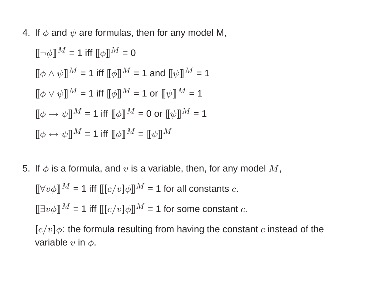4. If  $\phi$  and  $\psi$  are formulas, then for any model M,

$$
[\![\neg \phi]\!]^{M} = 1 \text{ iff } [\![\phi]\!]^{M} = 0
$$
  

$$
[\![\phi \land \psi]\!]^{M} = 1 \text{ iff } [\![\phi]\!]^{M} = 1 \text{ and } [\![\psi]\!]^{M} = 1
$$
  

$$
[\![\phi \lor \psi]\!]^{M} = 1 \text{ iff } [\![\phi]\!]^{M} = 1 \text{ or } [\![\psi]\!]^{M} = 1
$$
  

$$
[\![\phi \to \psi]\!]^{M} = 1 \text{ iff } [\![\phi]\!]^{M} = 0 \text{ or } [\![\psi]\!]^{M} = 1
$$
  

$$
[\![\phi \leftrightarrow \psi]\!]^{M} = 1 \text{ iff } [\![\phi]\!]^{M} = [\![\psi]\!]^{M}
$$

5. If  $\phi$  is a formula, and  $v$  is a variable, then, for any model  $M,$ 

 $[\![\forall v \phi ]\!]^{\hat{M}}$  = 1 iff  $[\![ [c/v] \phi ]\!]^{\hat{M}}$  = 1 for all constants  $c.$ 

 $[\![\exists v \phi]\!]^M = \mathsf{1}$  iff  $[\![ [c/v]\phi]\!]^M = \mathsf{1}$  for some constant  $c.$ 

 $[c/v]\phi$ : the formula resulting from having the constant  $c$  instead of the variable  $v$  in  $\phi.$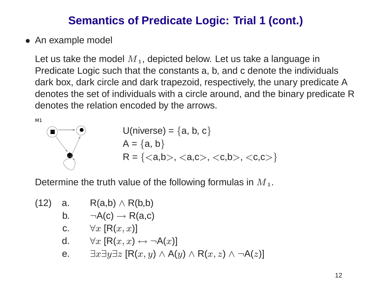## **Semantics of Predicate Logic: Trial 1 (cont.)**

• An example model

Let us take the model  $\overline{M}_1$ , depicted below. Let us take a language in Predicate Logic such that the constants a, b, and <sup>c</sup> denote the individuals dark box, dark circle and dark trapezoid, respectively, the unary predicate A denotes the set of individuals with <sup>a</sup> circle around, and the binary predicate R denotes the relation encoded by the arrows.

$$
U(niverse) = {a, b, c}
$$
  
A = {a, b}  
R = {},  ,  ,  }}

Determine the truth value of the following formulas in  $M_1$ .

(12) a. 
$$
R(a,b) \wedge R(b,b)
$$
  
\nb.  $\neg A(c) \rightarrow R(a,c)$   
\nc.  $\forall x [R(x, x)]$   
\nd.  $\forall x [R(x, x) \leftrightarrow \neg A(x)]$   
\ne.  $\exists x \exists y \exists z [R(x, y) \wedge A(y) \wedge R(x, z) \wedge \neg A(z)]$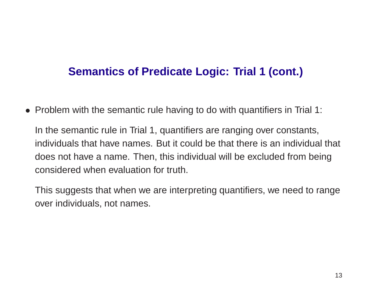#### **Semantics of Predicate Logic: Trial 1 (cont.)**

• Problem with the semantic rule having to do with quantifiers in Trial 1:

In the semantic rule in Trial 1, quantifiers are ranging over constants, individuals that have names. But it could be that there is an individual that does not have <sup>a</sup> name. Then, this individual will be excluded from being considered when evaluation for truth.

This suggests that when we are interpreting quantifiers, we need to range over individuals, not names.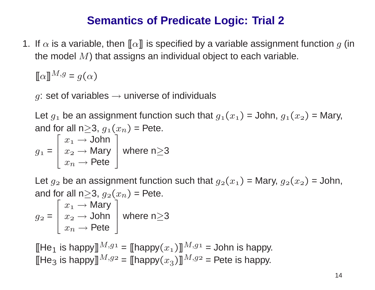#### **Semantics of Predicate Logic: Trial 2**

1. If  $\alpha$  is a variable, then  $\llbracket\alpha\rrbracket$  is specified by a variable assignment function  $g$  (in the model  $M)$  that assigns an individual object to each variable.

 $[\![\alpha]\!]^{M,g}$  =  $g(\alpha)$ 

 $g$ : set of variables  $\rightarrow$  universe of individuals

Let  $g_1$  be an assignment function such that  $g_1(x_1)$  = John,  $g_1(x_2)$  = Mary, and for all n $\geq$ 3,  $g_1(x_n)$  = Pete.

and for an n<sub>2</sub>5, 
$$
g_1(x_n) = r \cot 3
$$
  
\n
$$
g_1 = \begin{bmatrix} x_1 \rightarrow \text{John} \\ x_2 \rightarrow \text{Mary} \\ x_n \rightarrow \text{Pete} \end{bmatrix} \text{ where } n \ge 3
$$

Let  $g_2$  be an assignment function such that  $g_2(x_1)$  = Mary,  $g_2(x_2)$  = John, and for all n $\geq$ 3,  $g_{\scriptscriptstyle 2}(x_n)$  = Pete.

$$
g_2 = \begin{bmatrix} x_1 \rightarrow \text{Mary} \\ x_2 \rightarrow \text{John} \\ x_n \rightarrow \text{Pete} \end{bmatrix} \text{ where } n \ge 3
$$

[[He $_1$  is happy] $^{M,g_1}$  = [[happy $(x_1)$ ]] $^{M,g_1}$  = John is happy. [[He $_3$  is happy] $^{M,g_2}$  = [[happy $(x_3)$ ]] $^{M,g_2}$  = Pete is happy.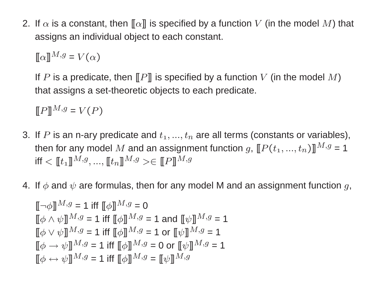2. If  $\alpha$  is a constant, then  $\llbracket \alpha \rrbracket$  is specified by a function V (in the model M) that assigns an individual object to each constant.

 $\llbracket \alpha \rrbracket^{M,g} = V(\alpha)$ 

If P is a predicate, then  $[$ P $]$  is specified by a function V (in the model M) that assigns <sup>a</sup> set-theoretic objects to each predicate.

 $\llbracket P \rrbracket^{M,g} = V(P)$ 

- 3. If P is an n-ary predicate and  $t_1, ..., t_n$  are all terms (constants or variables), then for any model M and an assignment function g,  $[ [P(t_1, ..., t_n)]]^{M,g} = 1$ iff  $\langle [t_1] \, M, g, ..., [t_n] \, M, g \rangle \in [P]$
- 4. If  $\phi$  and  $\psi$  are formulas, then for any model M and an assignment function g,

$$
\begin{aligned}\n\llbracket \neg \phi \rrbracket^{M,g} &= 1 \text{ iff } \llbracket \phi \rrbracket^{M,g} = 0 \\
\llbracket \phi \land \psi \rrbracket^{M,g} &= 1 \text{ iff } \llbracket \phi \rrbracket^{M,g} = 1 \text{ and } \llbracket \psi \rrbracket^{M,g} = 1 \\
\llbracket \phi \lor \psi \rrbracket^{M,g} &= 1 \text{ iff } \llbracket \phi \rrbracket^{M,g} = 1 \text{ or } \llbracket \psi \rrbracket^{M,g} = 1 \\
\llbracket \phi \to \psi \rrbracket^{M,g} &= 1 \text{ iff } \llbracket \phi \rrbracket^{M,g} = 0 \text{ or } \llbracket \psi \rrbracket^{M,g} = 1 \\
\llbracket \phi \leftrightarrow \psi \rrbracket^{M,g} &= 1 \text{ iff } \llbracket \phi \rrbracket^{M,g} = \llbracket \psi \rrbracket^{M,g} = 1\n\end{aligned}
$$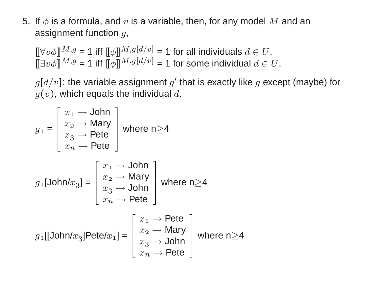5. If  $\phi$  is a formula, and  $v$  is a variable, then, for any model M and an assignment function  $g$ ,

 $[\![\forall v \phi]\!]^{M,g} = 1$  iff  $[\![\phi]\!]^{M,g[d/v]} = 1$  for all individuals  $d \in U$ .  $\overline{\mathbb{E}} \exists v \phi \overline{\mathbb{I}}^{M,g} = 1$  iff  $\overline{\mathbb{E}} \phi \overline{\mathbb{I}}^{M,g[d/v]} = 1$  for some individual  $d \in U$ .

 $g[d/v]$ : the variable assignment  $g'$  that is exactly like g except (maybe) for  $g(v)$ , which equals the individual d.

$$
g_1 = \begin{bmatrix} x_1 \rightarrow John \\ x_2 \rightarrow Mary \\ x_3 \rightarrow Pete \\ x_n \rightarrow Pete \end{bmatrix} \text{ where } n \ge 4
$$
  

$$
g_1[John/x_3] = \begin{bmatrix} x_1 \rightarrow John \\ x_2 \rightarrow Mary \\ x_3 \rightarrow John \\ x_n \rightarrow Pete \end{bmatrix} \text{ where } n \ge 4
$$
  

$$
g_1[[John/x_3]Pete/x_1] = \begin{bmatrix} x_1 \rightarrow Pete \\ x_2 \rightarrow Mary \\ x_3 \rightarrow John \\ x_3 \rightarrow John \\ x_n \rightarrow Pete \end{bmatrix} \text{ where } n \ge 4
$$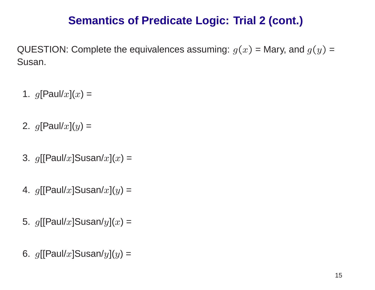## **Semantics of Predicate Logic: Trial 2 (cont.)**

QUESTION: Complete the equivalences assuming:  $g(x)$  = Mary, and  $g(y)$  = Susan.

- 1.  $g[$ Paul/ $x](x) =$
- 2.  $g[$ Paul/ $x](y) =$
- 3.  $g[[\mathsf{Paul}/x]$ Susan/ $x](x)$  =
- 4.  $g[[\mathsf{Paul}/x]$ Susan/ $x](y)$  =
- 5.  $g[[\mathsf{Paul}/x]$ Susan/ $y](x)$  =
- 6.  $g[[\mathsf{Paul}/x]$ Susan/ $y](y)$  =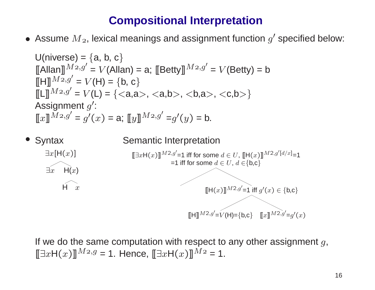## **Compositional Interpretation**

• Assume  $M_2$ , lexical meanings and assignment function  $g'$  specified below:

Universe) = {a, b, c}

\n[Allan] 
$$
M^{2,g'} = V(\text{Allan}) = a
$$
; [Betty]  $M^{2,g'} = V(\text{Betty}) = b$ 

\n[H]  $M^{2,g'} = V(H) = \{b, c\}$ 

\n[L]  $M^{2,g'} = V(L) = \{, , a>, \}$ 

\nAssignment  $g'$ :

\n[x]  $M^{2,g'} = g'(x) = a$ ; [y]  $M^{2,g'} = g'(y) = b$ .



If we do the same computation with respect to any other assignment  $g,$  $\llbracket \exists x \mathsf{H}(x) \rrbracket^{Mz,g}$  = 1. Hence,  $\llbracket \exists x \mathsf{H}(x) \rrbracket^{Mz}$  = 1.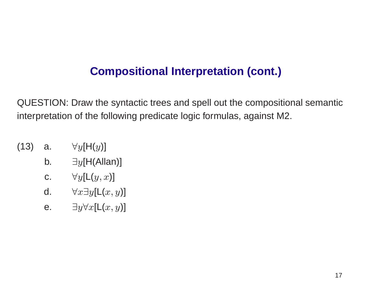## **Compositional Interpretation (cont.)**

QUESTION: Draw the syntactic trees and spell out the compositional semantic interpretation of the following predicate logic formulas, against M2.

- (13) a.  $\forall y [ \mathsf{H}(y) ]$ 
	- b.  $\exists y [\mathsf{H}(\mathsf{Allan})]$
	- c.  $\forall y [\mathsf{L}(y,x)]$
	- d.  $\forall x \exists y [\mathsf{L}(x,y)]$
	- e.  $\exists y \forall x [\mathsf{L}(x,y)]$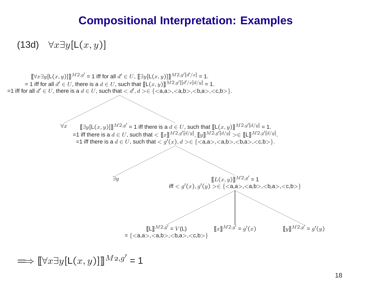#### **Compositional Interpretation: Examples**

(13d)  $\forall x \exists y [\mathsf{L}(x,y)]$ 



 $\Longrightarrow \llbracket \forall x \exists y [\mathsf{L}(x,y) ] \rrbracket^{M_{2},g'}$  = 1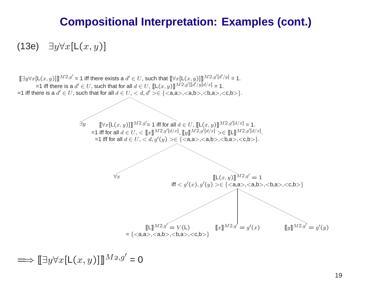#### **Compositional Interpretation: Examples (cont.)**

(13e)  $\exists y \forall x [\mathsf{L}(x,y)]$ 



 $\Longrightarrow\llbracket \exists y\forall x[\mathsf{L}(x,y) ]\rrbracket^{M_{2},g'}$  = 0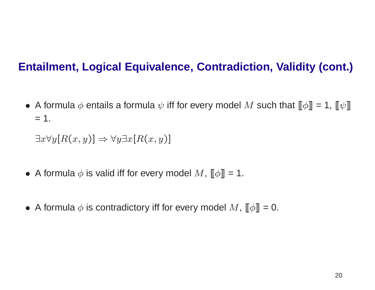## **Entailment, Logical Equivalence, Contradiction, Validity (cont.)**

• A formula  $\phi$  entails a formula  $\psi$  iff for every model  $M$  such that  $\llbracket \phi \rrbracket = 1$ ,  $\llbracket \psi \rrbracket$  $= 1.$ 

 $\exists x \forall y [R(x, y)] \Rightarrow \forall y \exists x [R(x, y)]$ 

- A formula  $\phi$  is valid iff for every model  $M$ ,  $\llbracket \phi \rrbracket = 1$ .
- A formula  $\phi$  is contradictory iff for every model  $M$ ,  $\llbracket \phi \rrbracket = 0.$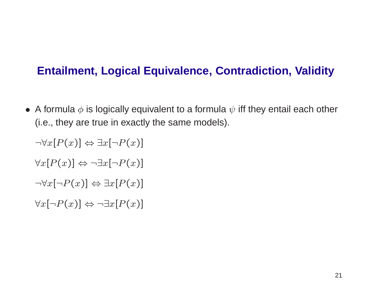## **Entailment, Logical Equivalence, Contradiction, Validit y**

 $\bullet\,$  A formula  $\phi$  is logically equivalent to a formula  $\psi$  iff they entail each other (i.e., they are true in exactly the same models).

 $\neg\forall x[P(x)]\Leftrightarrow\exists x[\neg P(x)]$  $\forall x [P(x)] \Leftrightarrow \neg \exists x [\neg P(x)]$  $\neg \forall x [\neg P(x)] \Leftrightarrow \exists x [P(x)]$  $\forall x [\neg P(x)] \Leftrightarrow \neg \exists x [P(x)]$